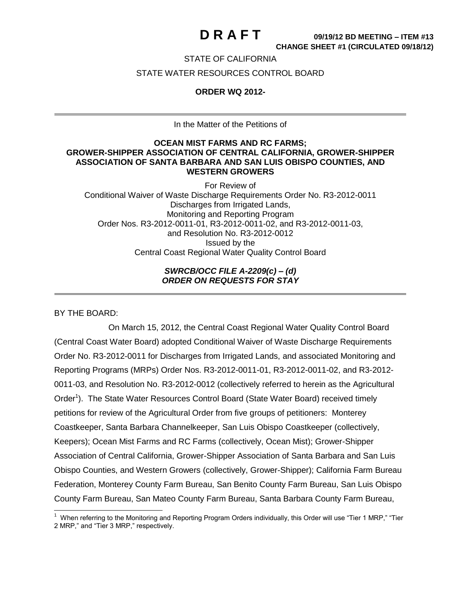### STATE OF CALIFORNIA

### STATE WATER RESOURCES CONTROL BOARD

### **ORDER WQ 2012-**

In the Matter of the Petitions of

### **OCEAN MIST FARMS AND RC FARMS; GROWER-SHIPPER ASSOCIATION OF CENTRAL CALIFORNIA, GROWER-SHIPPER ASSOCIATION OF SANTA BARBARA AND SAN LUIS OBISPO COUNTIES, AND WESTERN GROWERS**

For Review of Conditional Waiver of Waste Discharge Requirements Order No. R3-2012-0011 Discharges from Irrigated Lands, Monitoring and Reporting Program Order Nos. R3-2012-0011-01, R3-2012-0011-02, and R3-2012-0011-03, and Resolution No. R3-2012-0012 Issued by the Central Coast Regional Water Quality Control Board

### *SWRCB/OCC FILE A-2209(c) – (d) ORDER ON REQUESTS FOR STAY*

BY THE BOARD:

On March 15, 2012, the Central Coast Regional Water Quality Control Board (Central Coast Water Board) adopted Conditional Waiver of Waste Discharge Requirements Order No. R3-2012-0011 for Discharges from Irrigated Lands, and associated Monitoring and Reporting Programs (MRPs) Order Nos. R3-2012-0011-01, R3-2012-0011-02, and R3-2012- 0011-03, and Resolution No. R3-2012-0012 (collectively referred to herein as the Agricultural Order<sup>1</sup>). The State Water Resources Control Board (State Water Board) received timely petitions for review of the Agricultural Order from five groups of petitioners: Monterey Coastkeeper, Santa Barbara Channelkeeper, San Luis Obispo Coastkeeper (collectively, Keepers); Ocean Mist Farms and RC Farms (collectively, Ocean Mist); Grower-Shipper Association of Central California, Grower-Shipper Association of Santa Barbara and San Luis Obispo Counties, and Western Growers (collectively, Grower-Shipper); California Farm Bureau Federation, Monterey County Farm Bureau, San Benito County Farm Bureau, San Luis Obispo County Farm Bureau, San Mateo County Farm Bureau, Santa Barbara County Farm Bureau,

 <sup>1</sup> When referring to the Monitoring and Reporting Program Orders individually, this Order will use "Tier 1 MRP," "Tier 2 MRP," and "Tier 3 MRP," respectively.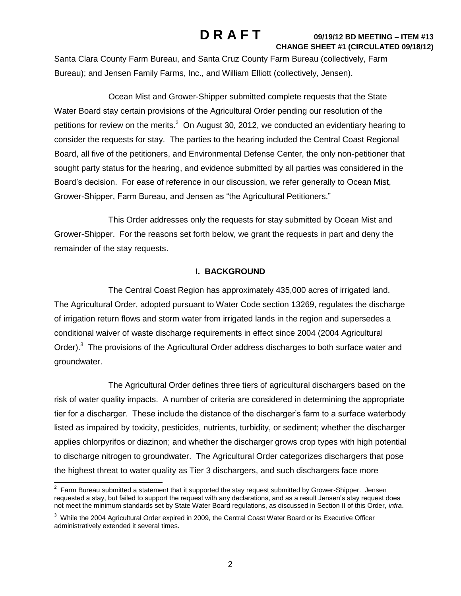Santa Clara County Farm Bureau, and Santa Cruz County Farm Bureau (collectively, Farm Bureau); and Jensen Family Farms, Inc., and William Elliott (collectively, Jensen).

Ocean Mist and Grower-Shipper submitted complete requests that the State Water Board stay certain provisions of the Agricultural Order pending our resolution of the petitions for review on the merits.<sup>2</sup> On August 30, 2012, we conducted an evidentiary hearing to consider the requests for stay. The parties to the hearing included the Central Coast Regional Board, all five of the petitioners, and Environmental Defense Center, the only non-petitioner that sought party status for the hearing, and evidence submitted by all parties was considered in the Board's decision. For ease of reference in our discussion, we refer generally to Ocean Mist, Grower-Shipper, Farm Bureau, and Jensen as "the Agricultural Petitioners."

This Order addresses only the requests for stay submitted by Ocean Mist and Grower-Shipper. For the reasons set forth below, we grant the requests in part and deny the remainder of the stay requests.

### **I. BACKGROUND**

The Central Coast Region has approximately 435,000 acres of irrigated land. The Agricultural Order, adopted pursuant to Water Code section 13269, regulates the discharge of irrigation return flows and storm water from irrigated lands in the region and supersedes a conditional waiver of waste discharge requirements in effect since 2004 (2004 Agricultural Order).<sup>3</sup> The provisions of the Agricultural Order address discharges to both surface water and groundwater.

The Agricultural Order defines three tiers of agricultural dischargers based on the risk of water quality impacts. A number of criteria are considered in determining the appropriate tier for a discharger. These include the distance of the discharger's farm to a surface waterbody listed as impaired by toxicity, pesticides, nutrients, turbidity, or sediment; whether the discharger applies chlorpyrifos or diazinon; and whether the discharger grows crop types with high potential to discharge nitrogen to groundwater. The Agricultural Order categorizes dischargers that pose the highest threat to water quality as Tier 3 dischargers, and such dischargers face more

 2 Farm Bureau submitted a statement that it supported the stay request submitted by Grower-Shipper. Jensen requested a stay, but failed to support the request with any declarations, and as a result Jensen's stay request does not meet the minimum standards set by State Water Board regulations, as discussed in Section II of this Order, *infra*.

 $3$  While the 2004 Agricultural Order expired in 2009, the Central Coast Water Board or its Executive Officer administratively extended it several times.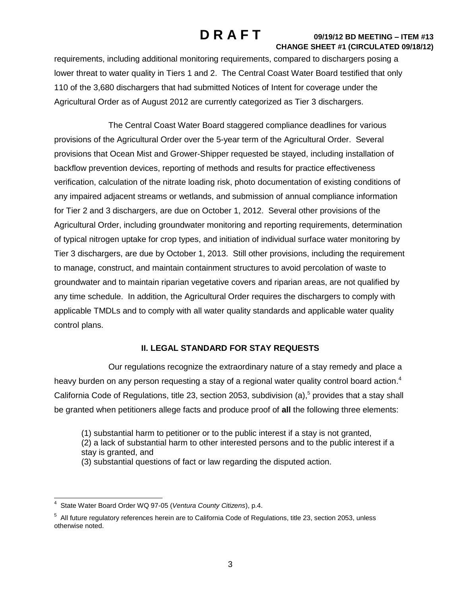requirements, including additional monitoring requirements, compared to dischargers posing a lower threat to water quality in Tiers 1 and 2. The Central Coast Water Board testified that only 110 of the 3,680 dischargers that had submitted Notices of Intent for coverage under the Agricultural Order as of August 2012 are currently categorized as Tier 3 dischargers.

The Central Coast Water Board staggered compliance deadlines for various provisions of the Agricultural Order over the 5-year term of the Agricultural Order. Several provisions that Ocean Mist and Grower-Shipper requested be stayed, including installation of backflow prevention devices, reporting of methods and results for practice effectiveness verification, calculation of the nitrate loading risk, photo documentation of existing conditions of any impaired adjacent streams or wetlands, and submission of annual compliance information for Tier 2 and 3 dischargers, are due on October 1, 2012. Several other provisions of the Agricultural Order, including groundwater monitoring and reporting requirements, determination of typical nitrogen uptake for crop types, and initiation of individual surface water monitoring by Tier 3 dischargers, are due by October 1, 2013. Still other provisions, including the requirement to manage, construct, and maintain containment structures to avoid percolation of waste to groundwater and to maintain riparian vegetative covers and riparian areas, are not qualified by any time schedule. In addition, the Agricultural Order requires the dischargers to comply with applicable TMDLs and to comply with all water quality standards and applicable water quality control plans.

## **II. LEGAL STANDARD FOR STAY REQUESTS**

Our regulations recognize the extraordinary nature of a stay remedy and place a heavy burden on any person requesting a stay of a regional water quality control board action.<sup>4</sup> California Code of Regulations, title 23, section 2053, subdivision (a),<sup>5</sup> provides that a stay shall be granted when petitioners allege facts and produce proof of **all** the following three elements:

(1) substantial harm to petitioner or to the public interest if a stay is not granted,

(2) a lack of substantial harm to other interested persons and to the public interest if a stay is granted, and

(3) substantial questions of fact or law regarding the disputed action.

 4 State Water Board Order WQ 97-05 (*Ventura County Citizens*), p.4.

 $5$  All future regulatory references herein are to California Code of Regulations, title 23, section 2053, unless otherwise noted.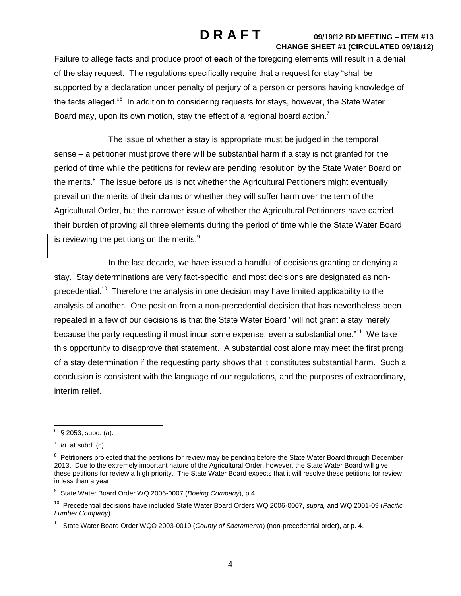Failure to allege facts and produce proof of **each** of the foregoing elements will result in a denial of the stay request. The regulations specifically require that a request for stay "shall be supported by a declaration under penalty of perjury of a person or persons having knowledge of the facts alleged."<sup>6</sup> In addition to considering requests for stays, however, the State Water Board may, upon its own motion, stay the effect of a regional board action.<sup>7</sup>

The issue of whether a stay is appropriate must be judged in the temporal sense – a petitioner must prove there will be substantial harm if a stay is not granted for the period of time while the petitions for review are pending resolution by the State Water Board on the merits.<sup>8</sup> The issue before us is not whether the Agricultural Petitioners might eventually prevail on the merits of their claims or whether they will suffer harm over the term of the Agricultural Order, but the narrower issue of whether the Agricultural Petitioners have carried their burden of proving all three elements during the period of time while the State Water Board is reviewing the petition<u>s</u> on the merits. $^9$ 

In the last decade, we have issued a handful of decisions granting or denying a stay. Stay determinations are very fact-specific, and most decisions are designated as nonprecedential.<sup>10</sup> Therefore the analysis in one decision may have limited applicability to the analysis of another. One position from a non-precedential decision that has nevertheless been repeated in a few of our decisions is that the State Water Board "will not grant a stay merely because the party requesting it must incur some expense, even a substantial one."<sup>11</sup> We take this opportunity to disapprove that statement. A substantial cost alone may meet the first prong of a stay determination if the requesting party shows that it constitutes substantial harm. Such a conclusion is consistent with the language of our regulations, and the purposes of extraordinary, interim relief.

<sup>&</sup>lt;u>.</u><br><sup>6</sup> § 2053, subd. (a).

 $^7$  *Id.* at subd. (c).

<sup>&</sup>lt;sup>8</sup> Petitioners projected that the petitions for review may be pending before the State Water Board through December 2013. Due to the extremely important nature of the Agricultural Order, however, the State Water Board will give these petitions for review a high priority. The State Water Board expects that it will resolve these petitions for review in less than a year.

<sup>9</sup> State Water Board Order WQ 2006-0007 (*Boeing Company*), p.4.

<sup>10</sup> Precedential decisions have included State Water Board Orders WQ 2006-0007, *supra,* and WQ 2001-09 (*Pacific Lumber Company*).

<sup>&</sup>lt;sup>11</sup> State Water Board Order WQO 2003-0010 (County of Sacramento) (non-precedential order), at p. 4.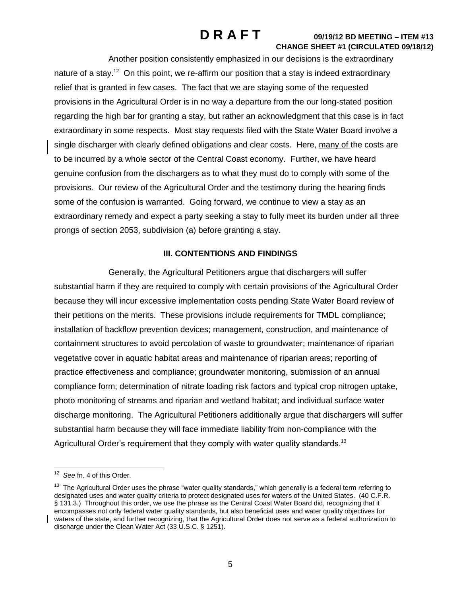Another position consistently emphasized in our decisions is the extraordinary nature of a stay.<sup>12</sup> On this point, we re-affirm our position that a stay is indeed extraordinary relief that is granted in few cases. The fact that we are staying some of the requested provisions in the Agricultural Order is in no way a departure from the our long-stated position regarding the high bar for granting a stay, but rather an acknowledgment that this case is in fact extraordinary in some respects. Most stay requests filed with the State Water Board involve a single discharger with clearly defined obligations and clear costs. Here, many of the costs are to be incurred by a whole sector of the Central Coast economy. Further, we have heard genuine confusion from the dischargers as to what they must do to comply with some of the provisions. Our review of the Agricultural Order and the testimony during the hearing finds some of the confusion is warranted. Going forward, we continue to view a stay as an extraordinary remedy and expect a party seeking a stay to fully meet its burden under all three prongs of section 2053, subdivision (a) before granting a stay.

## **III. CONTENTIONS AND FINDINGS**

Generally, the Agricultural Petitioners argue that dischargers will suffer substantial harm if they are required to comply with certain provisions of the Agricultural Order because they will incur excessive implementation costs pending State Water Board review of their petitions on the merits. These provisions include requirements for TMDL compliance; installation of backflow prevention devices; management, construction, and maintenance of containment structures to avoid percolation of waste to groundwater; maintenance of riparian vegetative cover in aquatic habitat areas and maintenance of riparian areas; reporting of practice effectiveness and compliance; groundwater monitoring, submission of an annual compliance form; determination of nitrate loading risk factors and typical crop nitrogen uptake, photo monitoring of streams and riparian and wetland habitat; and individual surface water discharge monitoring. The Agricultural Petitioners additionally argue that dischargers will suffer substantial harm because they will face immediate liability from non-compliance with the Agricultural Order's requirement that they comply with water quality standards.<sup>13</sup>

<sup>&</sup>lt;sup>12</sup> See fn. 4 of this Order.

<sup>&</sup>lt;sup>13</sup> The Agricultural Order uses the phrase "water quality standards," which generally is a federal term referring to designated uses and water quality criteria to protect designated uses for waters of the United States. (40 C.F.R. § 131.3.) Throughout this order, we use the phrase as the Central Coast Water Board did, recognizing that it encompasses not only federal water quality standards, but also beneficial uses and water quality objectives for waters of the state, and further recognizing, that the Agricultural Order does not serve as a federal authorization to discharge under the Clean Water Act (33 U.S.C. § 1251).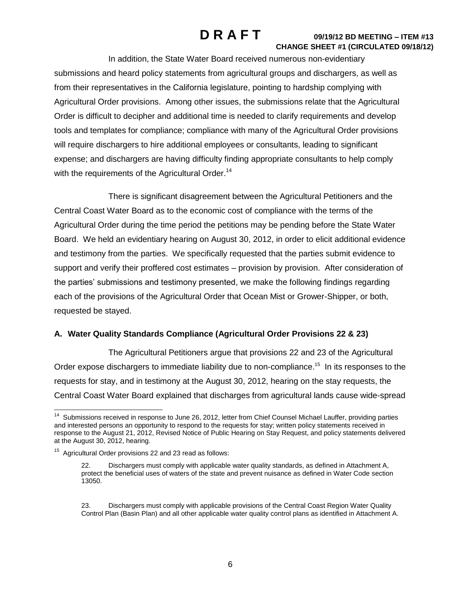In addition, the State Water Board received numerous non-evidentiary submissions and heard policy statements from agricultural groups and dischargers, as well as from their representatives in the California legislature, pointing to hardship complying with Agricultural Order provisions. Among other issues, the submissions relate that the Agricultural Order is difficult to decipher and additional time is needed to clarify requirements and develop tools and templates for compliance; compliance with many of the Agricultural Order provisions will require dischargers to hire additional employees or consultants, leading to significant expense; and dischargers are having difficulty finding appropriate consultants to help comply with the requirements of the Agricultural Order.<sup>14</sup>

There is significant disagreement between the Agricultural Petitioners and the Central Coast Water Board as to the economic cost of compliance with the terms of the Agricultural Order during the time period the petitions may be pending before the State Water Board. We held an evidentiary hearing on August 30, 2012, in order to elicit additional evidence and testimony from the parties. We specifically requested that the parties submit evidence to support and verify their proffered cost estimates – provision by provision. After consideration of the parties' submissions and testimony presented, we make the following findings regarding each of the provisions of the Agricultural Order that Ocean Mist or Grower-Shipper, or both, requested be stayed.

## **A. Water Quality Standards Compliance (Agricultural Order Provisions 22 & 23)**

The Agricultural Petitioners argue that provisions 22 and 23 of the Agricultural Order expose dischargers to immediate liability due to non-compliance.<sup>15</sup> In its responses to the requests for stay, and in testimony at the August 30, 2012, hearing on the stay requests, the Central Coast Water Board explained that discharges from agricultural lands cause wide-spread

 14 Submissions received in response to June 26, 2012, letter from Chief Counsel Michael Lauffer, providing parties and interested persons an opportunity to respond to the requests for stay; written policy statements received in response to the August 21, 2012, Revised Notice of Public Hearing on Stay Request, and policy statements delivered at the August 30, 2012, hearing.

<sup>&</sup>lt;sup>15</sup> Agricultural Order provisions 22 and 23 read as follows:

<sup>22.</sup> Dischargers must comply with applicable water quality standards, as defined in Attachment A, protect the beneficial uses of waters of the state and prevent nuisance as defined in Water Code section 13050.

<sup>23.</sup> Dischargers must comply with applicable provisions of the Central Coast Region Water Quality Control Plan (Basin Plan) and all other applicable water quality control plans as identified in Attachment A.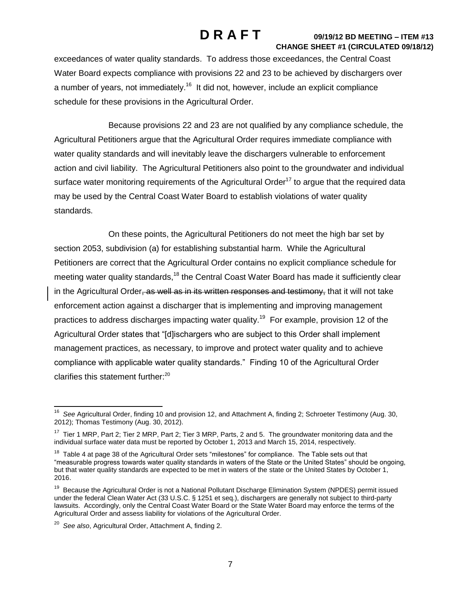exceedances of water quality standards. To address those exceedances, the Central Coast Water Board expects compliance with provisions 22 and 23 to be achieved by dischargers over a number of years, not immediately.<sup>16</sup> It did not, however, include an explicit compliance schedule for these provisions in the Agricultural Order.

Because provisions 22 and 23 are not qualified by any compliance schedule, the Agricultural Petitioners argue that the Agricultural Order requires immediate compliance with water quality standards and will inevitably leave the dischargers vulnerable to enforcement action and civil liability. The Agricultural Petitioners also point to the groundwater and individual surface water monitoring requirements of the Agricultural Order<sup>17</sup> to argue that the required data may be used by the Central Coast Water Board to establish violations of water quality standards.

On these points, the Agricultural Petitioners do not meet the high bar set by section 2053, subdivision (a) for establishing substantial harm. While the Agricultural Petitioners are correct that the Agricultural Order contains no explicit compliance schedule for meeting water quality standards,<sup>18</sup> the Central Coast Water Board has made it sufficiently clear in the Agricultural Order, as well as in its written responses and testimony, that it will not take enforcement action against a discharger that is implementing and improving management practices to address discharges impacting water quality.<sup>19</sup> For example, provision 12 of the Agricultural Order states that "[d]ischargers who are subject to this Order shall implement management practices, as necessary, to improve and protect water quality and to achieve compliance with applicable water quality standards." Finding 10 of the Agricultural Order clarifies this statement further:<sup>20</sup>

 16 *See* Agricultural Order, finding 10 and provision 12, and Attachment A, finding 2; Schroeter Testimony (Aug. 30, 2012); Thomas Testimony (Aug. 30, 2012).

 $17$  Tier 1 MRP, Part 2; Tier 2 MRP, Part 2; Tier 3 MRP, Parts, 2 and 5. The groundwater monitoring data and the individual surface water data must be reported by October 1, 2013 and March 15, 2014, respectively.

<sup>&</sup>lt;sup>18</sup> Table 4 at page 38 of the Agricultural Order sets "milestones" for compliance. The Table sets out that "measurable progress towards water quality standards in waters of the State or the United States" should be ongoing, but that water quality standards are expected to be met in waters of the state or the United States by October 1, 2016.

<sup>&</sup>lt;sup>19</sup> Because the Agricultural Order is not a National Pollutant Discharge Elimination System (NPDES) permit issued under the federal Clean Water Act (33 U.S.C. § 1251 et seq.), dischargers are generally not subject to third-party lawsuits. Accordingly, only the Central Coast Water Board or the State Water Board may enforce the terms of the Agricultural Order and assess liability for violations of the Agricultural Order.

<sup>20</sup> *See also*, Agricultural Order, Attachment A, finding 2.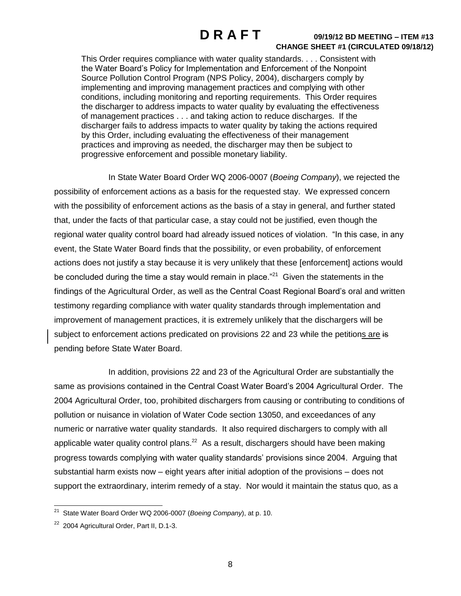This Order requires compliance with water quality standards. . . . Consistent with the Water Board's Policy for Implementation and Enforcement of the Nonpoint Source Pollution Control Program (NPS Policy, 2004), dischargers comply by implementing and improving management practices and complying with other conditions, including monitoring and reporting requirements. This Order requires the discharger to address impacts to water quality by evaluating the effectiveness of management practices . . . and taking action to reduce discharges. If the discharger fails to address impacts to water quality by taking the actions required by this Order, including evaluating the effectiveness of their management practices and improving as needed, the discharger may then be subject to progressive enforcement and possible monetary liability.

In State Water Board Order WQ 2006-0007 (*Boeing Company*), we rejected the possibility of enforcement actions as a basis for the requested stay. We expressed concern with the possibility of enforcement actions as the basis of a stay in general, and further stated that, under the facts of that particular case, a stay could not be justified, even though the regional water quality control board had already issued notices of violation. "In this case, in any event, the State Water Board finds that the possibility, or even probability, of enforcement actions does not justify a stay because it is very unlikely that these [enforcement] actions would be concluded during the time a stay would remain in place. $^{n21}$  Given the statements in the findings of the Agricultural Order, as well as the Central Coast Regional Board's oral and written testimony regarding compliance with water quality standards through implementation and improvement of management practices, it is extremely unlikely that the dischargers will be subject to enforcement actions predicated on provisions 22 and 23 while the petitions are is pending before State Water Board.

In addition, provisions 22 and 23 of the Agricultural Order are substantially the same as provisions contained in the Central Coast Water Board's 2004 Agricultural Order. The 2004 Agricultural Order, too, prohibited dischargers from causing or contributing to conditions of pollution or nuisance in violation of Water Code section 13050, and exceedances of any numeric or narrative water quality standards. It also required dischargers to comply with all applicable water quality control plans.<sup>22</sup> As a result, dischargers should have been making progress towards complying with water quality standards' provisions since 2004. Arguing that substantial harm exists now – eight years after initial adoption of the provisions – does not support the extraordinary, interim remedy of a stay. Nor would it maintain the status quo, as a

 21 State Water Board Order WQ 2006-0007 (*Boeing Company*), at p. 10.

<sup>&</sup>lt;sup>22</sup> 2004 Agricultural Order, Part II, D.1-3.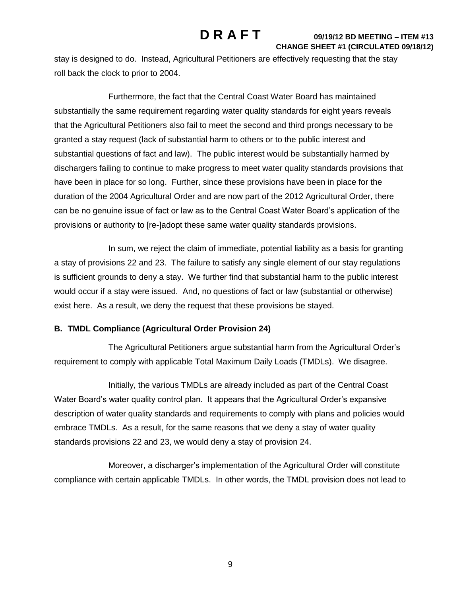stay is designed to do. Instead, Agricultural Petitioners are effectively requesting that the stay roll back the clock to prior to 2004.

Furthermore, the fact that the Central Coast Water Board has maintained substantially the same requirement regarding water quality standards for eight years reveals that the Agricultural Petitioners also fail to meet the second and third prongs necessary to be granted a stay request (lack of substantial harm to others or to the public interest and substantial questions of fact and law). The public interest would be substantially harmed by dischargers failing to continue to make progress to meet water quality standards provisions that have been in place for so long. Further, since these provisions have been in place for the duration of the 2004 Agricultural Order and are now part of the 2012 Agricultural Order, there can be no genuine issue of fact or law as to the Central Coast Water Board's application of the provisions or authority to [re-]adopt these same water quality standards provisions.

In sum, we reject the claim of immediate, potential liability as a basis for granting a stay of provisions 22 and 23. The failure to satisfy any single element of our stay regulations is sufficient grounds to deny a stay. We further find that substantial harm to the public interest would occur if a stay were issued. And, no questions of fact or law (substantial or otherwise) exist here. As a result, we deny the request that these provisions be stayed.

## **B. TMDL Compliance (Agricultural Order Provision 24)**

The Agricultural Petitioners argue substantial harm from the Agricultural Order's requirement to comply with applicable Total Maximum Daily Loads (TMDLs). We disagree.

Initially, the various TMDLs are already included as part of the Central Coast Water Board's water quality control plan. It appears that the Agricultural Order's expansive description of water quality standards and requirements to comply with plans and policies would embrace TMDLs. As a result, for the same reasons that we deny a stay of water quality standards provisions 22 and 23, we would deny a stay of provision 24.

Moreover, a discharger's implementation of the Agricultural Order will constitute compliance with certain applicable TMDLs. In other words, the TMDL provision does not lead to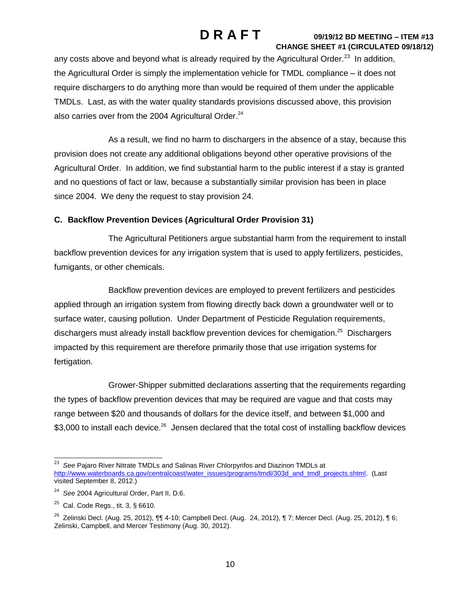any costs above and beyond what is already required by the Agricultural Order.<sup>23</sup> In addition, the Agricultural Order is simply the implementation vehicle for TMDL compliance – it does not require dischargers to do anything more than would be required of them under the applicable TMDLs. Last, as with the water quality standards provisions discussed above, this provision also carries over from the 2004 Agricultural Order.<sup>24</sup>

As a result, we find no harm to dischargers in the absence of a stay, because this provision does not create any additional obligations beyond other operative provisions of the Agricultural Order. In addition, we find substantial harm to the public interest if a stay is granted and no questions of fact or law, because a substantially similar provision has been in place since 2004. We deny the request to stay provision 24.

## **C. Backflow Prevention Devices (Agricultural Order Provision 31)**

The Agricultural Petitioners argue substantial harm from the requirement to install backflow prevention devices for any irrigation system that is used to apply fertilizers, pesticides, fumigants, or other chemicals.

Backflow prevention devices are employed to prevent fertilizers and pesticides applied through an irrigation system from flowing directly back down a groundwater well or to surface water, causing pollution. Under Department of Pesticide Regulation requirements, dischargers must already install backflow prevention devices for chemigation.<sup>25</sup> Dischargers impacted by this requirement are therefore primarily those that use irrigation systems for fertigation.

Grower-Shipper submitted declarations asserting that the requirements regarding the types of backflow prevention devices that may be required are vague and that costs may range between \$20 and thousands of dollars for the device itself, and between \$1,000 and \$3,000 to install each device.<sup>26</sup> Jensen declared that the total cost of installing backflow devices

 23 *See* Pajaro River Nitrate TMDLs and Salinas River Chlorpyrifos and Diazinon TMDLs at [http://www.waterboards.ca.gov/centralcoast/water\\_issues/programs/tmdl/303d\\_and\\_tmdl\\_projects.shtml.](http://www.waterboards.ca.gov/centralcoast/water_issues/programs/tmdl/303d_and_tmdl_projects.shtml) (Last visited September 8, 2012.)

<sup>24</sup> *See* 2004 Agricultural Order, Part II, D.6.

 $^{25}$  Cal. Code Regs., tit. 3, § 6610.

<sup>&</sup>lt;sup>26</sup> Zelinski Decl. (Aug. 25, 2012), ¶¶ 4-10; Campbell Decl. (Aug. 24, 2012), ¶ 7; Mercer Decl. (Aug. 25, 2012), ¶ 6; Zelinski, Campbell, and Mercer Testimony (Aug. 30, 2012).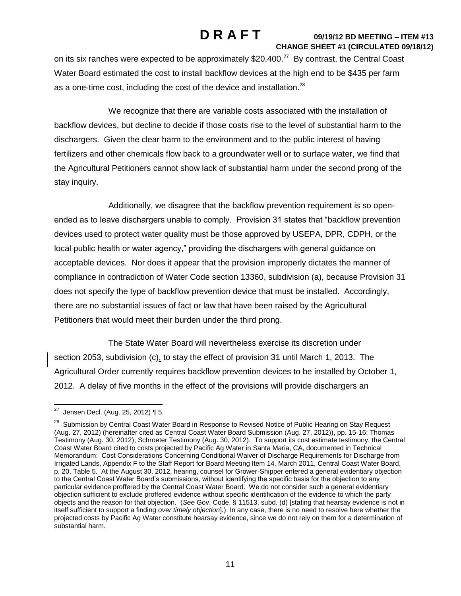# on its six ranches were expected to be approximately \$20,400. $^{27}$  By contrast, the Central Coast Water Board estimated the cost to install backflow devices at the high end to be \$435 per farm as a one-time cost, including the cost of the device and installation. $^{28}$

We recognize that there are variable costs associated with the installation of backflow devices, but decline to decide if those costs rise to the level of substantial harm to the dischargers. Given the clear harm to the environment and to the public interest of having fertilizers and other chemicals flow back to a groundwater well or to surface water, we find that the Agricultural Petitioners cannot show lack of substantial harm under the second prong of the stay inquiry.

Additionally, we disagree that the backflow prevention requirement is so openended as to leave dischargers unable to comply. Provision 31 states that "backflow prevention devices used to protect water quality must be those approved by USEPA, DPR, CDPH, or the local public health or water agency," providing the dischargers with general guidance on acceptable devices. Nor does it appear that the provision improperly dictates the manner of compliance in contradiction of Water Code section 13360, subdivision (a), because Provision 31 does not specify the type of backflow prevention device that must be installed. Accordingly, there are no substantial issues of fact or law that have been raised by the Agricultural Petitioners that would meet their burden under the third prong.

The State Water Board will nevertheless exercise its discretion under section 2053, subdivision (c), to stay the effect of provision 31 until March 1, 2013. The Agricultural Order currently requires backflow prevention devices to be installed by October 1, 2012. A delay of five months in the effect of the provisions will provide dischargers an

 27 Jensen Decl. (Aug. 25, 2012) ¶ 5.

<sup>&</sup>lt;sup>28</sup> Submission by Central Coast Water Board in Response to Revised Notice of Public Hearing on Stay Request (Aug. 27, 2012) (hereinafter cited as Central Coast Water Board Submission (Aug. 27, 2012)), pp. 15-16; Thomas Testimony (Aug. 30, 2012); Schroeter Testimony (Aug. 30, 2012). To support its cost estimate testimony, the Central Coast Water Board cited to costs projected by Pacific Ag Water in Santa Maria, CA, documented in Technical Memorandum: Cost Considerations Concerning Conditional Waiver of Discharge Requirements for Discharge from Irrigated Lands, Appendix F to the Staff Report for Board Meeting Item 14, March 2011, Central Coast Water Board, p. 20, Table 5. At the August 30, 2012, hearing, counsel for Grower-Shipper entered a general evidentiary objection to the Central Coast Water Board's submissions, without identifying the specific basis for the objection to any particular evidence proffered by the Central Coast Water Board. We do not consider such a general evidentiary objection sufficient to exclude proffered evidence without specific identification of the evidence to which the party objects and the reason for that objection. (*See* Gov. Code, § 11513, subd. (d) [stating that hearsay evidence is not in itself sufficient to support a finding *over timely objection*]*.*) In any case, there is no need to resolve here whether the projected costs by Pacific Ag Water constitute hearsay evidence, since we do not rely on them for a determination of substantial harm.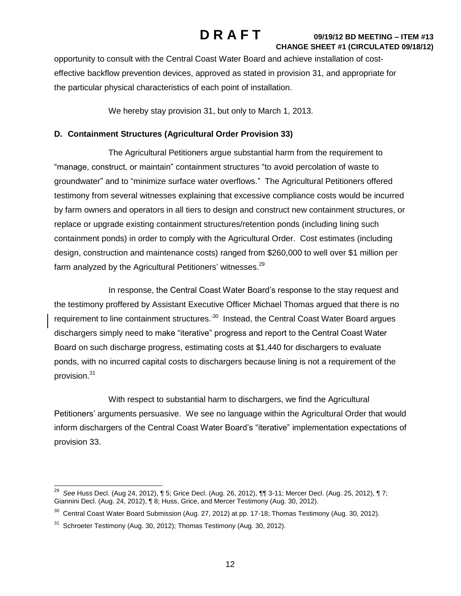opportunity to consult with the Central Coast Water Board and achieve installation of costeffective backflow prevention devices, approved as stated in provision 31, and appropriate for the particular physical characteristics of each point of installation.

We hereby stay provision 31, but only to March 1, 2013.

## **D. Containment Structures (Agricultural Order Provision 33)**

The Agricultural Petitioners argue substantial harm from the requirement to "manage, construct, or maintain" containment structures "to avoid percolation of waste to groundwater" and to "minimize surface water overflows." The Agricultural Petitioners offered testimony from several witnesses explaining that excessive compliance costs would be incurred by farm owners and operators in all tiers to design and construct new containment structures, or replace or upgrade existing containment structures/retention ponds (including lining such containment ponds) in order to comply with the Agricultural Order. Cost estimates (including design, construction and maintenance costs) ranged from \$260,000 to well over \$1 million per farm analyzed by the Agricultural Petitioners' witnesses.<sup>29</sup>

In response, the Central Coast Water Board's response to the stay request and the testimony proffered by Assistant Executive Officer Michael Thomas argued that there is no requirement to line containment structures.<sup>30</sup> Instead, the Central Coast Water Board argues dischargers simply need to make "iterative" progress and report to the Central Coast Water Board on such discharge progress, estimating costs at \$1,440 for dischargers to evaluate ponds, with no incurred capital costs to dischargers because lining is not a requirement of the provision.<sup>31</sup>

With respect to substantial harm to dischargers, we find the Agricultural Petitioners' arguments persuasive. We see no language within the Agricultural Order that would inform dischargers of the Central Coast Water Board's "iterative" implementation expectations of provision 33.

 29 *See* Huss Decl. (Aug 24, 2012), ¶ 5; Grice Decl. (Aug. 26, 2012), ¶¶ 3-11; Mercer Decl. (Aug. 25, 2012), ¶ 7; Giannini Decl. (Aug. 24, 2012), ¶ 8; Huss, Grice, and Mercer Testimony (Aug. 30, 2012).

 $30$  Central Coast Water Board Submission (Aug. 27, 2012) at pp. 17-18; Thomas Testimony (Aug. 30, 2012).

 $31$  Schroeter Testimony (Aug. 30, 2012); Thomas Testimony (Aug. 30, 2012).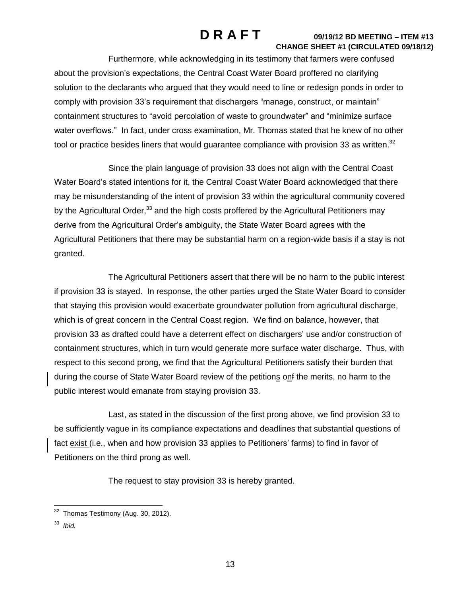Furthermore, while acknowledging in its testimony that farmers were confused about the provision's expectations, the Central Coast Water Board proffered no clarifying solution to the declarants who argued that they would need to line or redesign ponds in order to comply with provision 33's requirement that dischargers "manage, construct, or maintain" containment structures to "avoid percolation of waste to groundwater" and "minimize surface water overflows." In fact, under cross examination, Mr. Thomas stated that he knew of no other tool or practice besides liners that would guarantee compliance with provision 33 as written.<sup>32</sup>

Since the plain language of provision 33 does not align with the Central Coast Water Board's stated intentions for it, the Central Coast Water Board acknowledged that there may be misunderstanding of the intent of provision 33 within the agricultural community covered by the Agricultural Order,<sup>33</sup> and the high costs proffered by the Agricultural Petitioners may derive from the Agricultural Order's ambiguity, the State Water Board agrees with the Agricultural Petitioners that there may be substantial harm on a region-wide basis if a stay is not granted.

The Agricultural Petitioners assert that there will be no harm to the public interest if provision 33 is stayed. In response, the other parties urged the State Water Board to consider that staying this provision would exacerbate groundwater pollution from agricultural discharge, which is of great concern in the Central Coast region. We find on balance, however, that provision 33 as drafted could have a deterrent effect on dischargers' use and/or construction of containment structures, which in turn would generate more surface water discharge. Thus, with respect to this second prong, we find that the Agricultural Petitioners satisfy their burden that during the course of State Water Board review of the petitions onf the merits, no harm to the public interest would emanate from staying provision 33.

Last, as stated in the discussion of the first prong above, we find provision 33 to be sufficiently vague in its compliance expectations and deadlines that substantial questions of fact exist (i.e., when and how provision 33 applies to Petitioners' farms) to find in favor of Petitioners on the third prong as well.

The request to stay provision 33 is hereby granted.

 32 Thomas Testimony (Aug. 30, 2012).

<sup>33</sup> *Ibid.*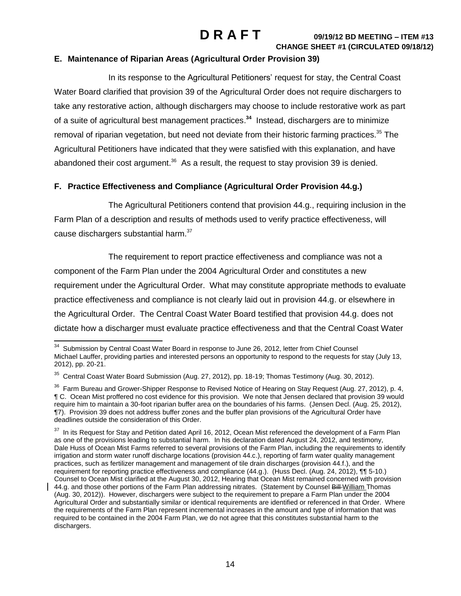### **E. Maintenance of Riparian Areas (Agricultural Order Provision 39)**

In its response to the Agricultural Petitioners' request for stay, the Central Coast Water Board clarified that provision 39 of the Agricultural Order does not require dischargers to take any restorative action, although dischargers may choose to include restorative work as part of a suite of agricultural best management practices. **34** Instead, dischargers are to minimize removal of riparian vegetation, but need not deviate from their historic farming practices.<sup>35</sup> The Agricultural Petitioners have indicated that they were satisfied with this explanation, and have abandoned their cost argument.<sup>36</sup> As a result, the request to stay provision 39 is denied.

## **F. Practice Effectiveness and Compliance (Agricultural Order Provision 44.g.)**

The Agricultural Petitioners contend that provision 44.g., requiring inclusion in the Farm Plan of a description and results of methods used to verify practice effectiveness, will cause dischargers substantial harm. $37$ 

The requirement to report practice effectiveness and compliance was not a component of the Farm Plan under the 2004 Agricultural Order and constitutes a new requirement under the Agricultural Order. What may constitute appropriate methods to evaluate practice effectiveness and compliance is not clearly laid out in provision 44.g. or elsewhere in the Agricultural Order. The Central Coast Water Board testified that provision 44.g. does not dictate how a discharger must evaluate practice effectiveness and that the Central Coast Water

 34 Submission by Central Coast Water Board in response to June 26, 2012, letter from Chief Counsel Michael Lauffer, providing parties and interested persons an opportunity to respond to the requests for stay (July 13, 2012), pp. 20-21.

 $35$  Central Coast Water Board Submission (Aug. 27, 2012), pp. 18-19; Thomas Testimony (Aug. 30, 2012).

 $36$  Farm Bureau and Grower-Shipper Response to Revised Notice of Hearing on Stay Request (Aug. 27, 2012), p. 4, ¶ C. Ocean Mist proffered no cost evidence for this provision. We note that Jensen declared that provision 39 would require him to maintain a 30-foot riparian buffer area on the boundaries of his farms. (Jensen Decl. (Aug. 25, 2012), ¶7). Provision 39 does not address buffer zones and the buffer plan provisions of the Agricultural Order have deadlines outside the consideration of this Order.

 $37$  In its Request for Stay and Petition dated April 16, 2012, Ocean Mist referenced the development of a Farm Plan as one of the provisions leading to substantial harm. In his declaration dated August 24, 2012, and testimony, Dale Huss of Ocean Mist Farms referred to several provisions of the Farm Plan, including the requirements to identify irrigation and storm water runoff discharge locations (provision 44.c.), reporting of farm water quality management practices, such as fertilizer management and management of tile drain discharges (provision 44.f.), and the requirement for reporting practice effectiveness and compliance (44.g.). (Huss Decl. (Aug. 24, 2012), ¶¶ 5-10.) Counsel to Ocean Mist clarified at the August 30, 2012, Hearing that Ocean Mist remained concerned with provision 44.g. and those other portions of the Farm Plan addressing nitrates. (Statement by Counsel Bill William Thomas (Aug. 30, 2012)). However, dischargers were subject to the requirement to prepare a Farm Plan under the 2004 Agricultural Order and substantially similar or identical requirements are identified or referenced in that Order. Where the requirements of the Farm Plan represent incremental increases in the amount and type of information that was required to be contained in the 2004 Farm Plan, we do not agree that this constitutes substantial harm to the dischargers.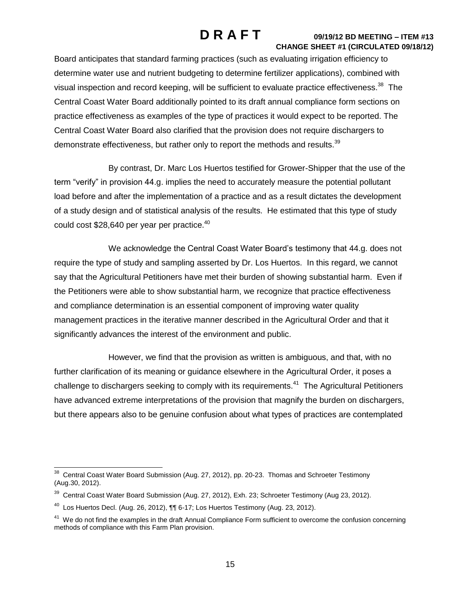Board anticipates that standard farming practices (such as evaluating irrigation efficiency to determine water use and nutrient budgeting to determine fertilizer applications), combined with visual inspection and record keeping, will be sufficient to evaluate practice effectiveness.<sup>38</sup> The Central Coast Water Board additionally pointed to its draft annual compliance form sections on practice effectiveness as examples of the type of practices it would expect to be reported. The Central Coast Water Board also clarified that the provision does not require dischargers to demonstrate effectiveness, but rather only to report the methods and results.<sup>39</sup>

By contrast, Dr. Marc Los Huertos testified for Grower-Shipper that the use of the term "verify" in provision 44.g. implies the need to accurately measure the potential pollutant load before and after the implementation of a practice and as a result dictates the development of a study design and of statistical analysis of the results. He estimated that this type of study could cost \$28,640 per year per practice.<sup>40</sup>

We acknowledge the Central Coast Water Board's testimony that 44.g. does not require the type of study and sampling asserted by Dr. Los Huertos. In this regard, we cannot say that the Agricultural Petitioners have met their burden of showing substantial harm. Even if the Petitioners were able to show substantial harm, we recognize that practice effectiveness and compliance determination is an essential component of improving water quality management practices in the iterative manner described in the Agricultural Order and that it significantly advances the interest of the environment and public.

However, we find that the provision as written is ambiguous, and that, with no further clarification of its meaning or guidance elsewhere in the Agricultural Order, it poses a challenge to dischargers seeking to comply with its requirements.<sup>41</sup> The Agricultural Petitioners have advanced extreme interpretations of the provision that magnify the burden on dischargers, but there appears also to be genuine confusion about what types of practices are contemplated

<sup>————————————————————&</sup>lt;br><sup>38</sup> Central Coast Water Board Submission (Aug. 27, 2012), pp. 20-23. Thomas and Schroeter Testimony (Aug.30, 2012).

<sup>&</sup>lt;sup>39</sup> Central Coast Water Board Submission (Aug. 27, 2012), Exh. 23; Schroeter Testimony (Aug 23, 2012).

 $^{40}$  Los Huertos Decl. (Aug. 26, 2012),  $\P\P$  6-17; Los Huertos Testimony (Aug. 23, 2012).

<sup>&</sup>lt;sup>41</sup> We do not find the examples in the draft Annual Compliance Form sufficient to overcome the confusion concerning methods of compliance with this Farm Plan provision.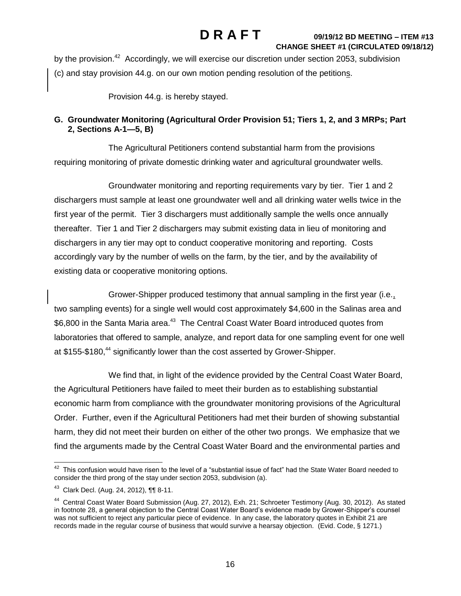by the provision.<sup>42</sup> Accordingly, we will exercise our discretion under section 2053, subdivision (c) and stay provision 44.g. on our own motion pending resolution of the petitions.

Provision 44.g. is hereby stayed.

## **G. Groundwater Monitoring (Agricultural Order Provision 51; Tiers 1, 2, and 3 MRPs; Part 2, Sections A-1—5, B)**

The Agricultural Petitioners contend substantial harm from the provisions requiring monitoring of private domestic drinking water and agricultural groundwater wells.

Groundwater monitoring and reporting requirements vary by tier. Tier 1 and 2 dischargers must sample at least one groundwater well and all drinking water wells twice in the first year of the permit. Tier 3 dischargers must additionally sample the wells once annually thereafter. Tier 1 and Tier 2 dischargers may submit existing data in lieu of monitoring and dischargers in any tier may opt to conduct cooperative monitoring and reporting. Costs accordingly vary by the number of wells on the farm, by the tier, and by the availability of existing data or cooperative monitoring options.

Grower-Shipper produced testimony that annual sampling in the first year (i.e., two sampling events) for a single well would cost approximately \$4,600 in the Salinas area and \$6,800 in the Santa Maria area.<sup>43</sup> The Central Coast Water Board introduced quotes from laboratories that offered to sample, analyze, and report data for one sampling event for one well at \$155-\$180,<sup>44</sup> significantly lower than the cost asserted by Grower-Shipper.

We find that, in light of the evidence provided by the Central Coast Water Board, the Agricultural Petitioners have failed to meet their burden as to establishing substantial economic harm from compliance with the groundwater monitoring provisions of the Agricultural Order. Further, even if the Agricultural Petitioners had met their burden of showing substantial harm, they did not meet their burden on either of the other two prongs. We emphasize that we find the arguments made by the Central Coast Water Board and the environmental parties and

<sup>&</sup>lt;u>42</u><br><sup>42</sup> This confusion would have risen to the level of a "substantial issue of fact" had the State Water Board needed to consider the third prong of the stay under section 2053, subdivision (a).

<sup>43</sup> Clark Decl. (Aug. 24, 2012), ¶¶ 8-11.

<sup>&</sup>lt;sup>44</sup> Central Coast Water Board Submission (Aug. 27, 2012), Exh. 21; Schroeter Testimony (Aug. 30, 2012). As stated in footnote 28, a general objection to the Central Coast Water Board's evidence made by Grower-Shipper's counsel was not sufficient to reject any particular piece of evidence. In any case, the laboratory quotes in Exhibit 21 are records made in the regular course of business that would survive a hearsay objection. (Evid. Code, § 1271.)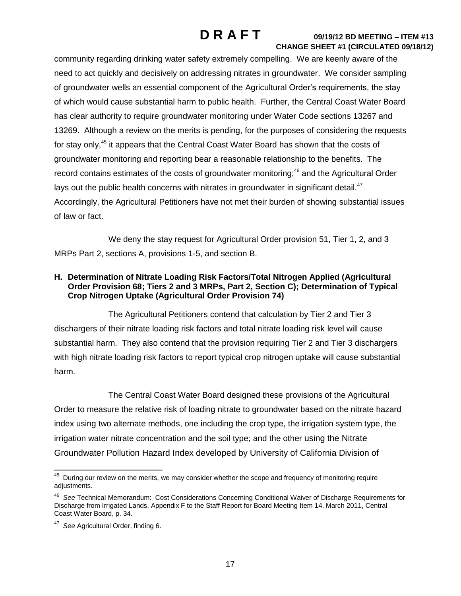community regarding drinking water safety extremely compelling. We are keenly aware of the need to act quickly and decisively on addressing nitrates in groundwater. We consider sampling of groundwater wells an essential component of the Agricultural Order's requirements, the stay of which would cause substantial harm to public health. Further, the Central Coast Water Board has clear authority to require groundwater monitoring under Water Code sections 13267 and 13269. Although a review on the merits is pending, for the purposes of considering the requests for stay only,<sup>45</sup> it appears that the Central Coast Water Board has shown that the costs of groundwater monitoring and reporting bear a reasonable relationship to the benefits. The record contains estimates of the costs of groundwater monitoring;<sup>46</sup> and the Agricultural Order lays out the public health concerns with nitrates in groundwater in significant detail. $47$ Accordingly, the Agricultural Petitioners have not met their burden of showing substantial issues of law or fact.

We deny the stay request for Agricultural Order provision 51, Tier 1, 2, and 3 MRPs Part 2, sections A, provisions 1-5, and section B.

## **H. Determination of Nitrate Loading Risk Factors/Total Nitrogen Applied (Agricultural Order Provision 68; Tiers 2 and 3 MRPs, Part 2, Section C); Determination of Typical Crop Nitrogen Uptake (Agricultural Order Provision 74)**

The Agricultural Petitioners contend that calculation by Tier 2 and Tier 3 dischargers of their nitrate loading risk factors and total nitrate loading risk level will cause substantial harm. They also contend that the provision requiring Tier 2 and Tier 3 dischargers with high nitrate loading risk factors to report typical crop nitrogen uptake will cause substantial harm.

The Central Coast Water Board designed these provisions of the Agricultural Order to measure the relative risk of loading nitrate to groundwater based on the nitrate hazard index using two alternate methods, one including the crop type, the irrigation system type, the irrigation water nitrate concentration and the soil type; and the other using the Nitrate Groundwater Pollution Hazard Index developed by University of California Division of

**AS During our review on the merits, we may consider whether the scope and frequency of monitoring require** adjustments.

<sup>46</sup> *See* Technical Memorandum: Cost Considerations Concerning Conditional Waiver of Discharge Requirements for Discharge from Irrigated Lands, Appendix F to the Staff Report for Board Meeting Item 14, March 2011, Central Coast Water Board, p. 34.

<sup>47</sup> *See* Agricultural Order, finding 6.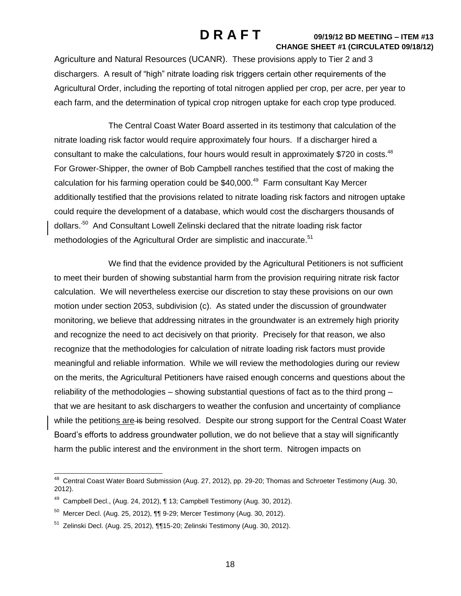Agriculture and Natural Resources (UCANR). These provisions apply to Tier 2 and 3 dischargers. A result of "high" nitrate loading risk triggers certain other requirements of the Agricultural Order, including the reporting of total nitrogen applied per crop, per acre, per year to each farm, and the determination of typical crop nitrogen uptake for each crop type produced.

The Central Coast Water Board asserted in its testimony that calculation of the nitrate loading risk factor would require approximately four hours. If a discharger hired a consultant to make the calculations, four hours would result in approximately \$720 in costs. $48$ For Grower-Shipper, the owner of Bob Campbell ranches testified that the cost of making the calculation for his farming operation could be \$40,000.<sup>49</sup> Farm consultant Kay Mercer additionally testified that the provisions related to nitrate loading risk factors and nitrogen uptake could require the development of a database, which would cost the dischargers thousands of dollars.<sup>50</sup> And Consultant Lowell Zelinski declared that the nitrate loading risk factor methodologies of the Agricultural Order are simplistic and inaccurate.<sup>51</sup>

We find that the evidence provided by the Agricultural Petitioners is not sufficient to meet their burden of showing substantial harm from the provision requiring nitrate risk factor calculation. We will nevertheless exercise our discretion to stay these provisions on our own motion under section 2053, subdivision (c). As stated under the discussion of groundwater monitoring, we believe that addressing nitrates in the groundwater is an extremely high priority and recognize the need to act decisively on that priority. Precisely for that reason, we also recognize that the methodologies for calculation of nitrate loading risk factors must provide meaningful and reliable information. While we will review the methodologies during our review on the merits, the Agricultural Petitioners have raised enough concerns and questions about the reliability of the methodologies – showing substantial questions of fact as to the third prong – that we are hesitant to ask dischargers to weather the confusion and uncertainty of compliance while the petitions are is being resolved. Despite our strong support for the Central Coast Water Board's efforts to address groundwater pollution, we do not believe that a stay will significantly harm the public interest and the environment in the short term. Nitrogen impacts on

 48 Central Coast Water Board Submission (Aug. 27, 2012), pp. 29-20; Thomas and Schroeter Testimony (Aug. 30, 2012).

 $49$  Campbell Decl., (Aug. 24, 2012),  $\P$  13; Campbell Testimony (Aug. 30, 2012).

 $^{50}$  Mercer Decl. (Aug. 25, 2012),  $\P\P$ 9-29; Mercer Testimony (Aug. 30, 2012).

<sup>&</sup>lt;sup>51</sup> Zelinski Decl. (Aug. 25, 2012), ¶¶15-20; Zelinski Testimony (Aug. 30, 2012).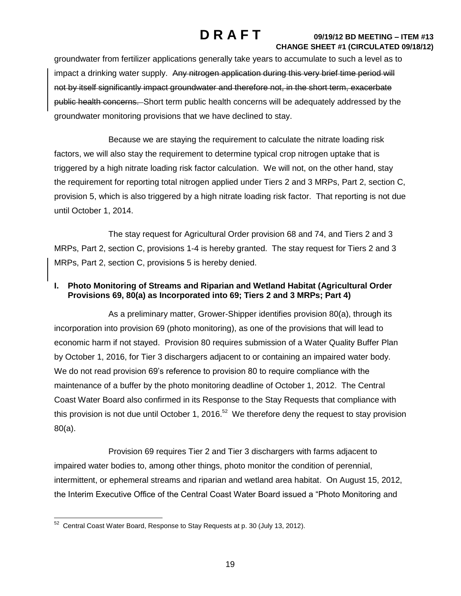groundwater from fertilizer applications generally take years to accumulate to such a level as to impact a drinking water supply. Any nitrogen application during this very brief time period will not by itself significantly impact groundwater and therefore not, in the short term, exacerbate public health concerns. Short term public health concerns will be adequately addressed by the groundwater monitoring provisions that we have declined to stay.

Because we are staying the requirement to calculate the nitrate loading risk factors, we will also stay the requirement to determine typical crop nitrogen uptake that is triggered by a high nitrate loading risk factor calculation. We will not, on the other hand, stay the requirement for reporting total nitrogen applied under Tiers 2 and 3 MRPs, Part 2, section C, provision 5, which is also triggered by a high nitrate loading risk factor. That reporting is not due until October 1, 2014.

The stay request for Agricultural Order provision 68 and 74, and Tiers 2 and 3 MRPs, Part 2, section C, provisions 1-4 is hereby granted. The stay request for Tiers 2 and 3 MRPs, Part 2, section C, provisions 5 is hereby denied.

## **I. Photo Monitoring of Streams and Riparian and Wetland Habitat (Agricultural Order Provisions 69, 80(a) as Incorporated into 69; Tiers 2 and 3 MRPs; Part 4)**

As a preliminary matter, Grower-Shipper identifies provision 80(a), through its incorporation into provision 69 (photo monitoring), as one of the provisions that will lead to economic harm if not stayed. Provision 80 requires submission of a Water Quality Buffer Plan by October 1, 2016, for Tier 3 dischargers adjacent to or containing an impaired water body. We do not read provision 69's reference to provision 80 to require compliance with the maintenance of a buffer by the photo monitoring deadline of October 1, 2012. The Central Coast Water Board also confirmed in its Response to the Stay Requests that compliance with this provision is not due until October 1, 2016.<sup>52</sup> We therefore deny the request to stay provision 80(a).

Provision 69 requires Tier 2 and Tier 3 dischargers with farms adjacent to impaired water bodies to, among other things, photo monitor the condition of perennial, intermittent, or ephemeral streams and riparian and wetland area habitat.On August 15, 2012, the Interim Executive Office of the Central Coast Water Board issued a "Photo Monitoring and

 52 Central Coast Water Board, Response to Stay Requests at p. 30 (July 13, 2012).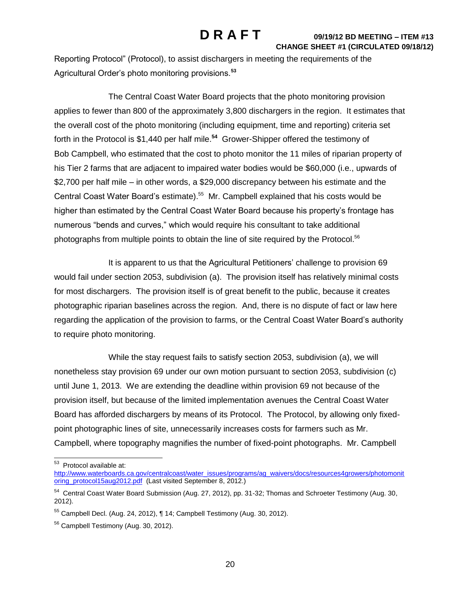Reporting Protocol" (Protocol), to assist dischargers in meeting the requirements of the Agricultural Order's photo monitoring provisions.**<sup>53</sup>**

The Central Coast Water Board projects that the photo monitoring provision applies to fewer than 800 of the approximately 3,800 dischargers in the region. It estimates that the overall cost of the photo monitoring (including equipment, time and reporting) criteria set forth in the Protocol is \$1,440 per half mile.**<sup>54</sup>** Grower-Shipper offered the testimony of Bob Campbell, who estimated that the cost to photo monitor the 11 miles of riparian property of his Tier 2 farms that are adjacent to impaired water bodies would be \$60,000 (i.e., upwards of \$2,700 per half mile – in other words, a \$29,000 discrepancy between his estimate and the Central Coast Water Board's estimate).<sup>55</sup> Mr. Campbell explained that his costs would be higher than estimated by the Central Coast Water Board because his property's frontage has numerous "bends and curves," which would require his consultant to take additional photographs from multiple points to obtain the line of site required by the Protocol.<sup>56</sup>

It is apparent to us that the Agricultural Petitioners' challenge to provision 69 would fail under section 2053, subdivision (a). The provision itself has relatively minimal costs for most dischargers. The provision itself is of great benefit to the public, because it creates photographic riparian baselines across the region. And, there is no dispute of fact or law here regarding the application of the provision to farms, or the Central Coast Water Board's authority to require photo monitoring.

While the stay request fails to satisfy section 2053, subdivision (a), we will nonetheless stay provision 69 under our own motion pursuant to section 2053, subdivision (c) until June 1, 2013. We are extending the deadline within provision 69 not because of the provision itself, but because of the limited implementation avenues the Central Coast Water Board has afforded dischargers by means of its Protocol. The Protocol, by allowing only fixedpoint photographic lines of site, unnecessarily increases costs for farmers such as Mr. Campbell, where topography magnifies the number of fixed-point photographs. Mr. Campbell

<sup>&</sup>lt;u>53</u><br><sup>53</sup> Protocol available at:

[http://www.waterboards.ca.gov/centralcoast/water\\_issues/programs/ag\\_waivers/docs/resources4growers/photomonit](http://www.waterboards.ca.gov/centralcoast/water_issues/programs/ag_waivers/docs/resources4growers/photomonitoring_protocol15aug2012.pdf) [oring\\_protocol15aug2012.pdf](http://www.waterboards.ca.gov/centralcoast/water_issues/programs/ag_waivers/docs/resources4growers/photomonitoring_protocol15aug2012.pdf) (Last visited September 8, 2012.)

<sup>&</sup>lt;sup>54</sup> Central Coast Water Board Submission (Aug. 27, 2012), pp. 31-32; Thomas and Schroeter Testimony (Aug. 30, 2012).

<sup>55</sup> Campbell Decl. (Aug. 24, 2012), ¶ 14; Campbell Testimony (Aug. 30, 2012).

<sup>&</sup>lt;sup>56</sup> Campbell Testimony (Aug. 30, 2012).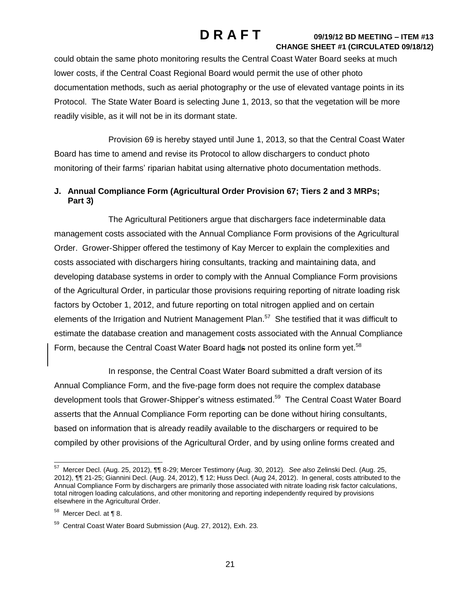could obtain the same photo monitoring results the Central Coast Water Board seeks at much lower costs, if the Central Coast Regional Board would permit the use of other photo documentation methods, such as aerial photography or the use of elevated vantage points in its Protocol. The State Water Board is selecting June 1, 2013, so that the vegetation will be more readily visible, as it will not be in its dormant state.

Provision 69 is hereby stayed until June 1, 2013, so that the Central Coast Water Board has time to amend and revise its Protocol to allow dischargers to conduct photo monitoring of their farms' riparian habitat using alternative photo documentation methods.

## **J. Annual Compliance Form (Agricultural Order Provision 67; Tiers 2 and 3 MRPs; Part 3)**

The Agricultural Petitioners argue that dischargers face indeterminable data management costs associated with the Annual Compliance Form provisions of the Agricultural Order. Grower-Shipper offered the testimony of Kay Mercer to explain the complexities and costs associated with dischargers hiring consultants, tracking and maintaining data, and developing database systems in order to comply with the Annual Compliance Form provisions of the Agricultural Order, in particular those provisions requiring reporting of nitrate loading risk factors by October 1, 2012, and future reporting on total nitrogen applied and on certain elements of the Irrigation and Nutrient Management Plan.<sup>57</sup> She testified that it was difficult to estimate the database creation and management costs associated with the Annual Compliance Form, because the Central Coast Water Board hads not posted its online form yet.<sup>58</sup>

In response, the Central Coast Water Board submitted a draft version of its Annual Compliance Form, and the five-page form does not require the complex database development tools that Grower-Shipper's witness estimated.<sup>59</sup> The Central Coast Water Board asserts that the Annual Compliance Form reporting can be done without hiring consultants, based on information that is already readily available to the dischargers or required to be compiled by other provisions of the Agricultural Order, and by using online forms created and

 57 Mercer Decl. (Aug. 25, 2012), ¶¶ 8-29; Mercer Testimony (Aug. 30, 2012)*. See also* Zelinski Decl. (Aug. 25, 2012), ¶¶ 21-25; Giannini Decl. (Aug. 24, 2012), ¶ 12; Huss Decl. (Aug 24, 2012). In general, costs attributed to the Annual Compliance Form by dischargers are primarily those associated with nitrate loading risk factor calculations, total nitrogen loading calculations, and other monitoring and reporting independently required by provisions elsewhere in the Agricultural Order.

 $58$  Mercer Decl. at  $\P$  8.

<sup>59</sup> Central Coast Water Board Submission (Aug. 27, 2012), Exh. 23*.*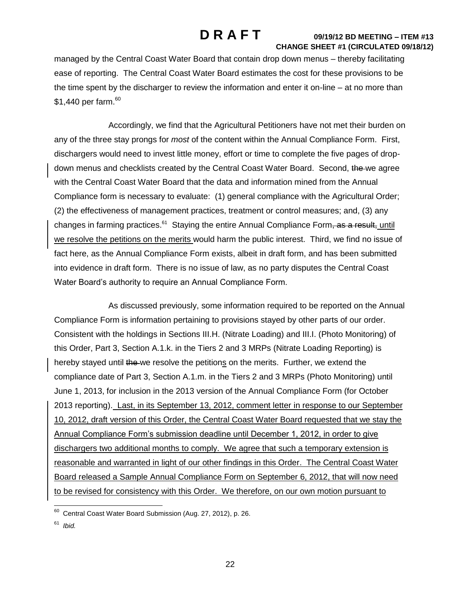managed by the Central Coast Water Board that contain drop down menus – thereby facilitating ease of reporting. The Central Coast Water Board estimates the cost for these provisions to be the time spent by the discharger to review the information and enter it on-line – at no more than  $$1,440$  per farm. $^{\rm 60}$ 

Accordingly, we find that the Agricultural Petitioners have not met their burden on any of the three stay prongs for *most* of the content within the Annual Compliance Form. First, dischargers would need to invest little money, effort or time to complete the five pages of dropdown menus and checklists created by the Central Coast Water Board. Second, the we agree with the Central Coast Water Board that the data and information mined from the Annual Compliance form is necessary to evaluate: (1) general compliance with the Agricultural Order; (2) the effectiveness of management practices, treatment or control measures; and, (3) any changes in farming practices.<sup>61</sup> Staying the entire Annual Compliance Form<del>, as a result, until</del> we resolve the petitions on the merits would harm the public interest. Third, we find no issue of fact here, as the Annual Compliance Form exists, albeit in draft form, and has been submitted into evidence in draft form. There is no issue of law, as no party disputes the Central Coast Water Board's authority to require an Annual Compliance Form.

As discussed previously, some information required to be reported on the Annual Compliance Form is information pertaining to provisions stayed by other parts of our order. Consistent with the holdings in Sections III.H. (Nitrate Loading) and III.I. (Photo Monitoring) of this Order, Part 3, Section A.1.k. in the Tiers 2 and 3 MRPs (Nitrate Loading Reporting) is hereby stayed until the we resolve the petitions on the merits. Further, we extend the compliance date of Part 3, Section A.1.m. in the Tiers 2 and 3 MRPs (Photo Monitoring) until June 1, 2013, for inclusion in the 2013 version of the Annual Compliance Form (for October 2013 reporting). Last, in its September 13, 2012, comment letter in response to our September 10, 2012, draft version of this Order, the Central Coast Water Board requested that we stay the Annual Compliance Form's submission deadline until December 1, 2012, in order to give dischargers two additional months to comply. We agree that such a temporary extension is reasonable and warranted in light of our other findings in this Order. The Central Coast Water Board released a Sample Annual Compliance Form on September 6, 2012, that will now need to be revised for consistency with this Order. We therefore, on our own motion pursuant to

 60 Central Coast Water Board Submission (Aug. 27, 2012), p. 26.

<sup>61</sup> *Ibid.*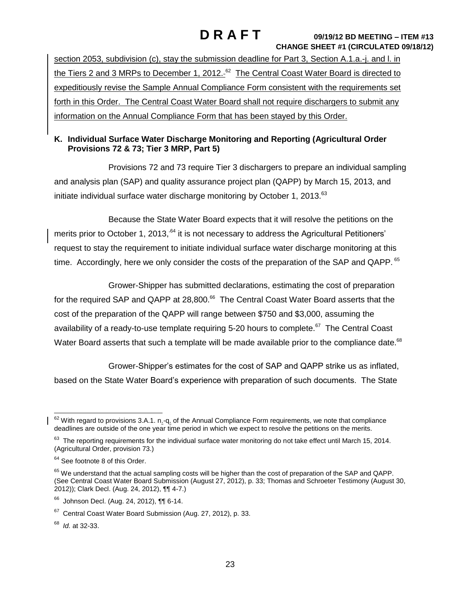section 2053, subdivision (c), stay the submission deadline for Part 3, Section A.1.a.-j. and I. in the Tiers 2 and 3 MRPs to December 1, 2012. $^{62}$  The Central Coast Water Board is directed to expeditiously revise the Sample Annual Compliance Form consistent with the requirements set forth in this Order. The Central Coast Water Board shall not require dischargers to submit any information on the Annual Compliance Form that has been stayed by this Order.

## **K. Individual Surface Water Discharge Monitoring and Reporting (Agricultural Order Provisions 72 & 73; Tier 3 MRP, Part 5)**

Provisions 72 and 73 require Tier 3 dischargers to prepare an individual sampling and analysis plan (SAP) and quality assurance project plan (QAPP) by March 15, 2013, and initiate individual surface water discharge monitoring by October 1, 2013.<sup>63</sup>

Because the State Water Board expects that it will resolve the petitions on the merits prior to October 1, 2013, <sup>64</sup> it is not necessary to address the Agricultural Petitioners' request to stay the requirement to initiate individual surface water discharge monitoring at this time. Accordingly, here we only consider the costs of the preparation of the SAP and QAPP. 65

Grower-Shipper has submitted declarations, estimating the cost of preparation for the required SAP and QAPP at 28,800.<sup>66</sup> The Central Coast Water Board asserts that the cost of the preparation of the QAPP will range between \$750 and \$3,000, assuming the availability of a ready-to-use template requiring 5-20 hours to complete.<sup>67</sup> The Central Coast Water Board asserts that such a template will be made available prior to the compliance date. $^{68}$ 

Grower-Shipper's estimates for the cost of SAP and QAPP strike us as inflated, based on the State Water Board's experience with preparation of such documents. The State

68 *Id.* at 32-33.

 $\overline{\phantom{a}}$  $62$  With regard to provisions 3.A.1. n.-q. of the Annual Compliance Form requirements, we note that compliance deadlines are outside of the one year time period in which we expect to resolve the petitions on the merits.

 $63$  The reporting requirements for the individual surface water monitoring do not take effect until March 15, 2014. (Agricultural Order, provision 73.)

<sup>&</sup>lt;sup>64</sup> See footnote 8 of this Order.

<sup>&</sup>lt;sup>65</sup> We understand that the actual sampling costs will be higher than the cost of preparation of the SAP and QAPP. (See Central Coast Water Board Submission (August 27, 2012), p. 33; Thomas and Schroeter Testimony (August 30, 2012)); Clark Decl. (Aug. 24, 2012), ¶¶ 4-7.)

<sup>66</sup> Johnson Decl. (Aug. 24, 2012), ¶¶ 6-14.

<sup>&</sup>lt;sup>67</sup> Central Coast Water Board Submission (Aug. 27, 2012), p. 33.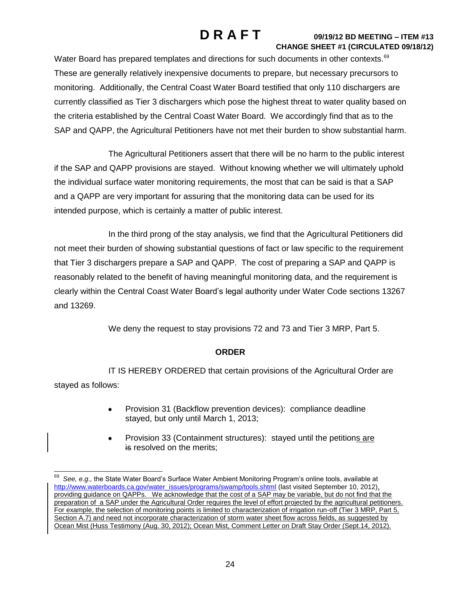Water Board has prepared templates and directions for such documents in other contexts.<sup>69</sup> These are generally relatively inexpensive documents to prepare, but necessary precursors to monitoring. Additionally, the Central Coast Water Board testified that only 110 dischargers are currently classified as Tier 3 dischargers which pose the highest threat to water quality based on the criteria established by the Central Coast Water Board. We accordingly find that as to the SAP and QAPP, the Agricultural Petitioners have not met their burden to show substantial harm.

The Agricultural Petitioners assert that there will be no harm to the public interest if the SAP and QAPP provisions are stayed. Without knowing whether we will ultimately uphold the individual surface water monitoring requirements, the most that can be said is that a SAP and a QAPP are very important for assuring that the monitoring data can be used for its intended purpose, which is certainly a matter of public interest.

In the third prong of the stay analysis, we find that the Agricultural Petitioners did not meet their burden of showing substantial questions of fact or law specific to the requirement that Tier 3 dischargers prepare a SAP and QAPP. The cost of preparing a SAP and QAPP is reasonably related to the benefit of having meaningful monitoring data, and the requirement is clearly within the Central Coast Water Board's legal authority under Water Code sections 13267 and 13269.

We deny the request to stay provisions 72 and 73 and Tier 3 MRP, Part 5.

## **ORDER**

IT IS HEREBY ORDERED that certain provisions of the Agricultural Order are stayed as follows:

- Provision 31 (Backflow prevention devices): compliance deadline stayed, but only until March 1, 2013;
- Provision 33 (Containment structures): stayed until the petitions are is resolved on the merits;

j 69 *See, e.g.,* the State Water Board's Surface Water Ambient Monitoring Program's online tools, available at [http://www.waterboards.ca.gov/water\\_issues/programs/swamp/tools.shtml](http://www.waterboards.ca.gov/water_issues/programs/swamp/tools.shtml) (last visited September 10, 2012), providing guidance on QAPPs. We acknowledge that the cost of a SAP may be variable, but do not find that the preparation of a SAP under the Agricultural Order requires the level of effort projected by the agricultural petitioners. For example, the selection of monitoring points is limited to characterization of irrigation run-off (Tier 3 MRP, Part 5, Section A.7) and need not incorporate characterization of storm water sheet flow across fields, as suggested by Ocean Mist (Huss Testimony (Aug. 30, 2012); Ocean Mist, Comment Letter on Draft Stay Order (Sept.14, 2012).